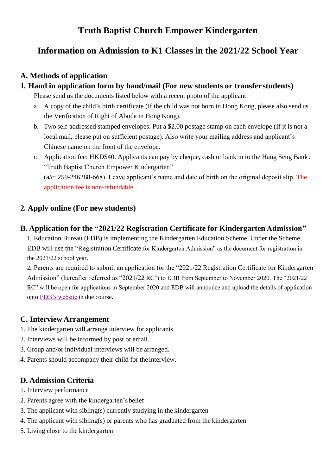## **Truth Baptist Church Empower Kindergarten**

# **Information on Admission to K1 Classes in the 2021/22 School Year**

#### **A. Methods of application**

#### **1. Hand in application form by hand/mail (For new students or transfer students)**

Please send us the documents listed below with a recent photo of the applicant:

- a. A copy of the child's birth certificate (If the child was not born in Hong Kong, please also send us the Verification of Right of Abode in Hong Kong).
- b. Two self-addressed stamped envelopes. Put a \$2.00 postage stamp on each envelope (If it is not a local mail, please put on sufficient postage). Also write your mailing address and applicant's Chinese name on the front of the envelope.
- c. Application fee: HKD\$40. Applicants can pay by cheque, cash or bank in to the Hang Seng Bank : "Truth Baptist Church Empower Kindergarten"

 $(a/c: 259-246288-668)$ . Leave applicant's name and date of birth on the original deposit slip. The application fee is non-refundable.

## **2. Apply online (For new students)**

## **B. Application for the "2021/22 Registration Certificate for Kindergarten Admission"**

1. Education Bureau (EDB) is implementing the Kindergarten Education Scheme. Under the Scheme, EDB will use the "Registration Certificate for Kindergarten Admission" as the document for registration in the 2021/22 school year.

2. Parents are required to submit an application for the "2021/22 Registration Certificate for Kindergarten Admission" (hereafter referred as "2021/22 RC") to EDB from September to November 2020. The "2021/22 RC" will be open for applications in September 2020 and EDB will announce and upload the details of application onto [EDB's website](https://www.edb.gov.hk/en/edu-system/preprimary-kindergarten/kindergarten-k1-admission-arrangements/index.html) in due course.

## **C. Interview Arrangement**

- 1. The kindergarten will arrange interview for applicants.
- 2. Interviews will be informed by post or email.
- 3. Group and/or individual interviews will be arranged.
- 4. Parents should accompany their child for the interview.

## **D. Admission Criteria**

- 1. Interview performance
- 2. Parents agree with the kindergarten's belief
- 3. The applicant with sibling(s) currently studying in the kindergarten
- 4. The applicant with sibling(s) or parents who has graduated from the kindergarten
- 5. Living close to the kindergarten